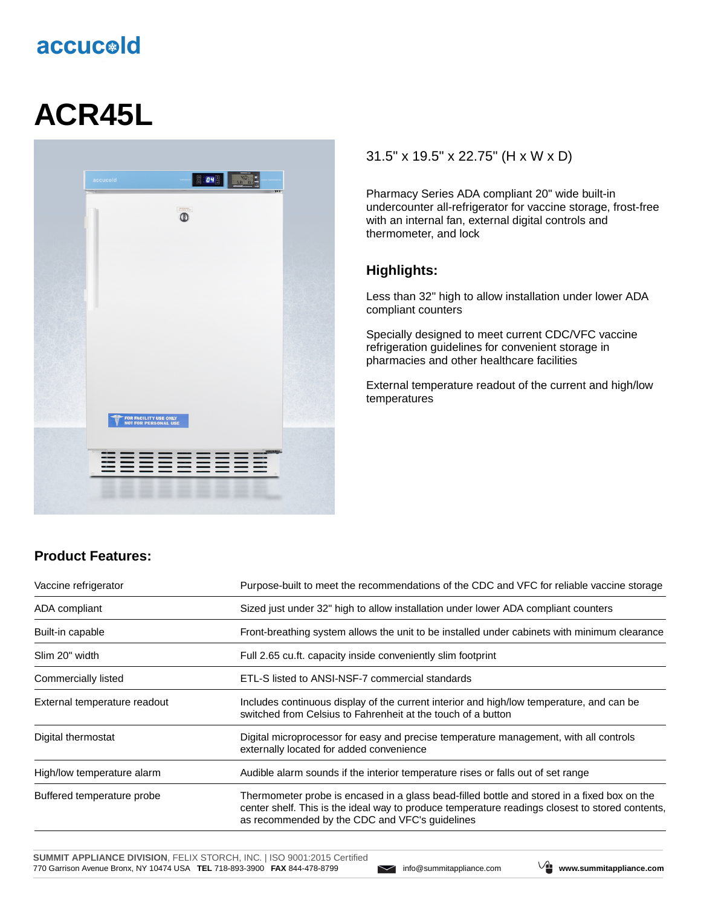# accucold

# **ACR45L**



#### 31.5" x 19.5" x 22.75" (H x W x D)

Pharmacy Series ADA compliant 20" wide built-in undercounter all-refrigerator for vaccine storage, frost-free with an internal fan, external digital controls and thermometer, and lock

#### **Highlights:**

Less than 32" high to allow installation under lower ADA compliant counters

Specially designed to meet current CDC/VFC vaccine refrigeration guidelines for convenient storage in pharmacies and other healthcare facilities

External temperature readout of the current and high/low temperatures

## **Product Features:**

| Vaccine refrigerator         | Purpose-built to meet the recommendations of the CDC and VFC for reliable vaccine storage                                                                                                                                                        |  |
|------------------------------|--------------------------------------------------------------------------------------------------------------------------------------------------------------------------------------------------------------------------------------------------|--|
| ADA compliant                | Sized just under 32" high to allow installation under lower ADA compliant counters                                                                                                                                                               |  |
| Built-in capable             | Front-breathing system allows the unit to be installed under cabinets with minimum clearance                                                                                                                                                     |  |
| Slim 20" width               | Full 2.65 cu.ft. capacity inside conveniently slim footprint                                                                                                                                                                                     |  |
| Commercially listed          | ETL-S listed to ANSI-NSF-7 commercial standards                                                                                                                                                                                                  |  |
| External temperature readout | Includes continuous display of the current interior and high/low temperature, and can be<br>switched from Celsius to Fahrenheit at the touch of a button                                                                                         |  |
| Digital thermostat           | Digital microprocessor for easy and precise temperature management, with all controls<br>externally located for added convenience                                                                                                                |  |
| High/low temperature alarm   | Audible alarm sounds if the interior temperature rises or falls out of set range                                                                                                                                                                 |  |
| Buffered temperature probe   | Thermometer probe is encased in a glass bead-filled bottle and stored in a fixed box on the<br>center shelf. This is the ideal way to produce temperature readings closest to stored contents,<br>as recommended by the CDC and VFC's guidelines |  |

**SUMMIT APPLIANCE DIVISION**, FELIX STORCH, INC. | ISO 9001:2015 Certified 770 Garrison Avenue Bronx, NY 10474 USA **TEL** 718-893-3900 **FAX** 844-478-8799 info@summitappliance.com **www.summitappliance.com**